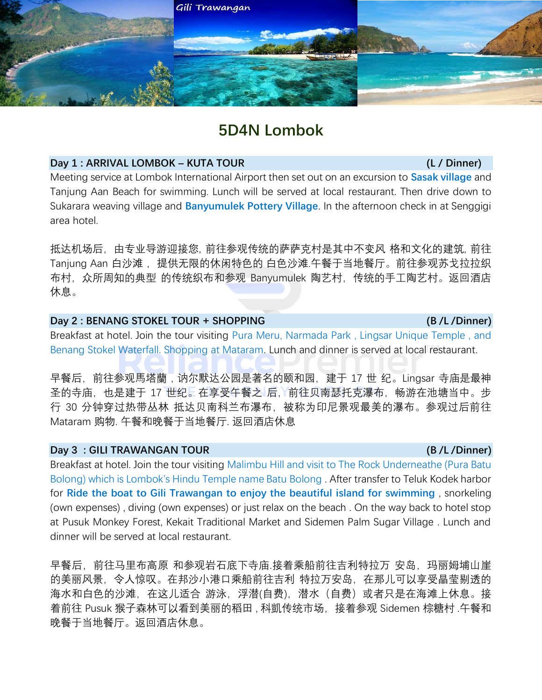

# **5D4N Lombok**

### **Day 1 : ARRIVAL LOMBOK – KUTA TOUR (L / Dinner)**

Meeting service at Lombok International Airport then set out on an excursion to **Sasak village** and Tanjung Aan Beach for swimming. Lunch will be served at local restaurant. Then drive down to Sukarara weaving village and **Banyumulek Pottery Village**. In the afternoon check in at Senggigi area hotel.

抵达机场后,由专业导游迎接您, 前往参观传统的萨萨克村是其中不变风 格和文化的建筑, 前往 Tanjung Aan 白沙滩, 提供无限的休闲特色的 白色沙滩.午餐于当地餐厅。前往参观苏戈拉拉织 布村,众所周知的典型 的传统织布和参观 Banyumulek 陶艺村,传统的手工陶艺村。返回酒店 休息。

# **Day 2 : BENANG STOKEL TOUR + SHOPPING (B /L /Dinner)**

Breakfast at hotel. Join the tour visiting Pura Meru, Narmada Park , Lingsar Unique Temple , and Benang Stokel Waterfall. Shopping at Mataram. Lunch and dinner is served at local restaurant.

早餐后,前往参观馬塔蘭,讷尔默达公园是著名的颐和园,建于 17 世 纪。Lingsar 寺庙是最神 圣的寺庙,也是建于 17 世纪。在享受午餐之 后, 前往贝南瑟托克瀑布, 畅游在池塘当中。步 行 30 分钟穿过热带丛林 抵达贝南科兰布瀑布,被称为印尼景观最美的瀑布。参观过后前往 Mataram 购物. 午餐和晚餐于当地餐厅. 返回酒店休息

#### **Day 3 : GILI TRAWANGAN TOUR (B /L /Dinner)**

Breakfast at hotel. Join the tour visiting Malimbu Hill and visit to The Rock Underneathe (Pura Batu Bolong) which is Lombok's Hindu Temple name Batu Bolong . After transfer to Teluk Kodek harbor for **Ride the boat to Gili Trawangan to enjoy the beautiful island for swimming** , snorkeling (own expenses) , diving (own expenses) or just relax on the beach . On the way back to hotel stop at Pusuk Monkey Forest, Kekait Traditional Market and Sidemen Palm Sugar Village . Lunch and dinner will be served at local restaurant.

早餐后,前往马里布高原 和参观岩石底下寺庙.接着乘船前往吉利特拉万 安岛,玛丽姆埔山崖 的美丽风景,令人惊叹。在邦沙小港口乘船前往吉利 特拉万安岛,在那儿可以享受晶莹剔透的 海水和白色的沙滩,在这儿适合 游泳,浮潜(自费),潜水(自费)或者只是在海滩上休息。接 着前往 Pusuk 猴子森林可以看到美丽的稻田 , 科凱传统市场,接着参观 Sidemen 棕糖村 .午餐和 晚餐于当地餐厅。返回酒店休息。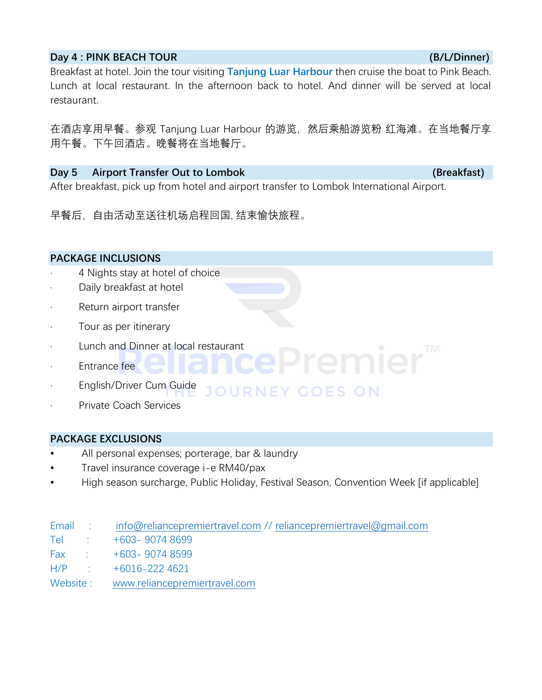#### **Day 4 : PINK BEACH TOUR (B/L/Dinner)**

Breakfast at hotel. Join the tour visiting **Tanjung Luar Harbour** then cruise the boat to Pink Beach. Lunch at local restaurant. In the afternoon back to hotel. And dinner will be served at local restaurant.

在酒店享用早餐。参观 Tanjung Luar Harbour 的游览,然后乘船游览粉 红海滩。在当地餐厅享 用午餐。下午回酒店。晚餐将在当地餐厅。

# **Day 5** Airport Transfer Out to Lombok **(Breakfast) (Breakfast)**

After breakfast, pick up from hotel and airport transfer to Lombok International Airport.

早餐后,自由活动至送往机场启程回国, 结束愉快旅程。

# **PACKAGE INCLUSIONS**

- 4 Nights stay at hotel of choice
- Daily breakfast at hotel
- · Return airport transfer
- Tour as per itinerary
- · Lunch and Dinner at local restaurant
- · Entrance fee
- **English/Driver Cum Guide** 
	- RNEY GOES ON
- Private Coach Services

#### **PACKAGE EXCLUSIONS**

- All personal expenses; porterage, bar & laundry
- Travel insurance coverage i-e RM40/pax
- High season surcharge, Public Holiday, Festival Season, Convention Week [if applicable]

|                                                                                                                | Email : info@reliancepremiertravel.com // reliancepremiertravel@gmail.com |
|----------------------------------------------------------------------------------------------------------------|---------------------------------------------------------------------------|
| Telestrian in the state of the state of the state of the state of the state of the state of the state of the s | $+603 - 90748699$                                                         |
|                                                                                                                | Fax: $+603 - 90748599$                                                    |
|                                                                                                                | $H/P$ : $+6016-2224621$                                                   |
|                                                                                                                | Website: www.reliancepremiertravel.com                                    |